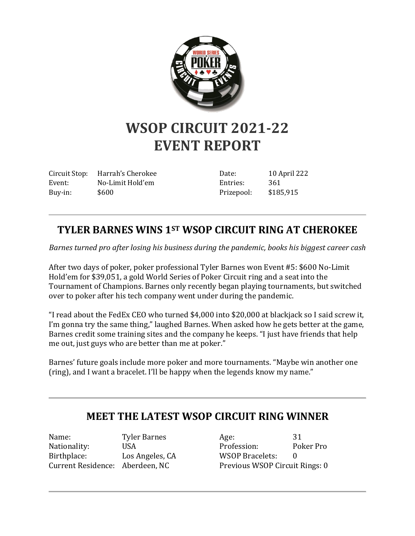

## **WSOP CIRCUIT 2021-22 EVENT REPORT**

Circuit Stop: Harrah's Cherokee Event: No-Limit Hold'em Buy-in: \$600

Date: 10 April 222 Entries: 361 Prizepool: \$185,915

## **TYLER BARNES WINS 1ST WSOP CIRCUIT RING AT CHEROKEE**

*Barnes turned pro after losing his business during the pandemic, books his biggest career cash*

After two days of poker, poker professional Tyler Barnes won Event #5: \$600 No-Limit Hold'em for \$39,051, a gold World Series of Poker Circuit ring and a seat into the Tournament of Champions. Barnes only recently began playing tournaments, but switched over to poker after his tech company went under during the pandemic.

"I read about the FedEx CEO who turned \$4,000 into \$20,000 at blackjack so I said screw it, I'm gonna try the same thing," laughed Barnes. When asked how he gets better at the game, Barnes credit some training sites and the company he keeps. "I just have friends that help me out, just guys who are better than me at poker."

Barnes' future goals include more poker and more tournaments. "Maybe win another one (ring), and I want a bracelet. I'll be happy when the legends know my name."

## **MEET THE LATEST WSOP CIRCUIT RING WINNER**

Name: Tyler Barnes Nationality: USA Birthplace: Los Angeles, CA Current Residence: Aberdeen, NC

Age: 31 Profession: Poker Pro WSOP Bracelets: 0 Previous WSOP Circuit Rings: 0